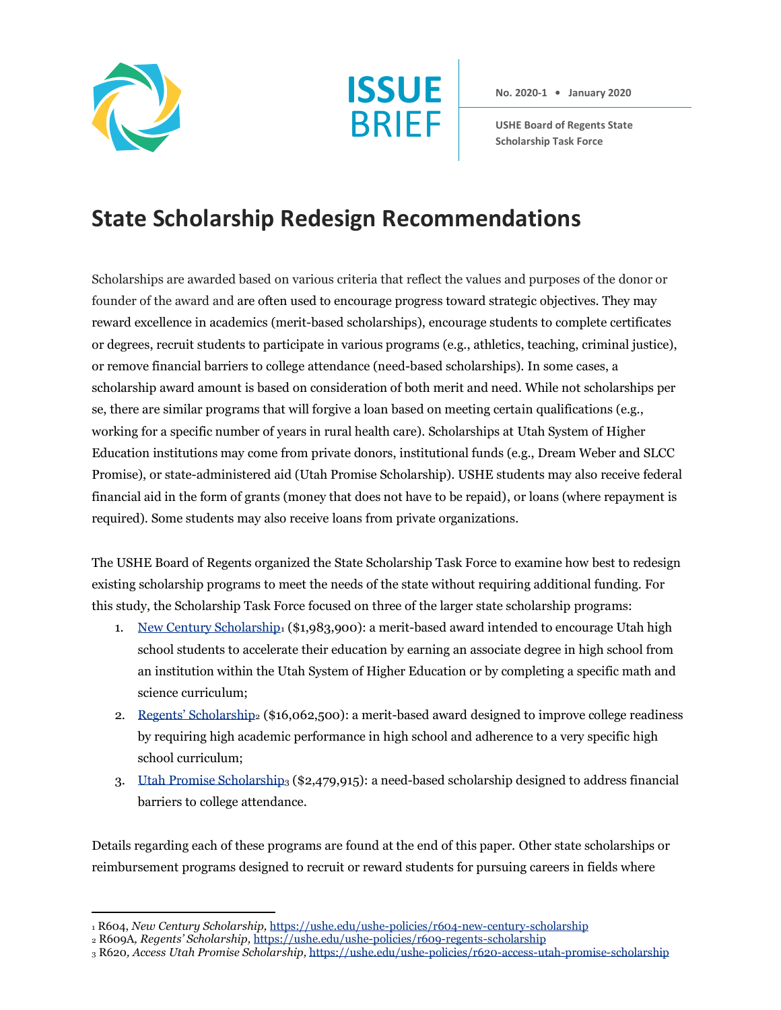



**No. 2020-1 • January 2020**

**USHE Board of Regents State Scholarship Task Force**

## **State Scholarship Redesign Recommendations**

Scholarships are awarded based on various criteria that reflect the values and purposes of the donor or founder of the award and are often used to encourage progress toward strategic objectives. They may reward excellence in academics (merit-based scholarships), encourage students to complete certificates or degrees, recruit students to participate in various programs (e.g., athletics, teaching, criminal justice), or remove financial barriers to college attendance (need-based scholarships). In some cases, a scholarship award amount is based on consideration of both merit and need. While not scholarships per se, there are similar programs that will forgive a loan based on meeting certain qualifications (e.g., working for a specific number of years in rural health care). Scholarships at Utah System of Higher Education institutions may come from private donors, institutional funds (e.g., Dream Weber and SLCC Promise), or state-administered aid (Utah Promise Scholarship). USHE students may also receive federal financial aid in the form of grants (money that does not have to be repaid), or loans (where repayment is required). Some students may also receive loans from private organizations.

The USHE Board of Regents organized the State Scholarship Task Force to examine how best to redesign existing scholarship programs to meet the needs of the state without requiring additional funding. For this study, the Scholarship Task Force focused on three of the larger state scholarship programs:

- 1. [New Century Scholarship](https://ushe.edu/ushe-policies/r604-new-century-scholarship/)1 (\$1,983,900): a merit-based award intended to encourage Utah high school students to accelerate their education by earning an associate degree in high school from an institution within the Utah System of Higher Education or by completing a specific math and science curriculum;
- 2. [Regents' Scholarship](https://ushe.edu/ushe-policies/r609-regents-scholarship/)2 (\$16,062,500): a merit-based award designed to improve college readiness by requiring high academic performance in high school and adherence to a very specific high school curriculum;
- 3. [Utah Promise Scholarship](https://ushe.edu/ushe-policies/r620-access-utah-promise-scholarship/)<sup>3</sup> (\$2,479,915): a need-based scholarship designed to address financial barriers to college attendance.

Details regarding each of these programs are found at the end of this paper. Other state scholarships or reimbursement programs designed to recruit or reward students for pursuing careers in fields where

<sup>1</sup> R604, *New Century Scholarship,* <https://ushe.edu/ushe-policies/r604-new-century-scholarship>

<sup>2</sup> R609A*, Regents' Scholarship,* <https://ushe.edu/ushe-policies/r609-regents-scholarship>

<sup>3</sup> R620*, Access Utah Promise Scholarship,* [https://ushe.edu/ushe-policies/r620-access-utah-promise-scholarship](https://ushe.edu/ushe-policies/r620-access-utah-promise-scholarship/)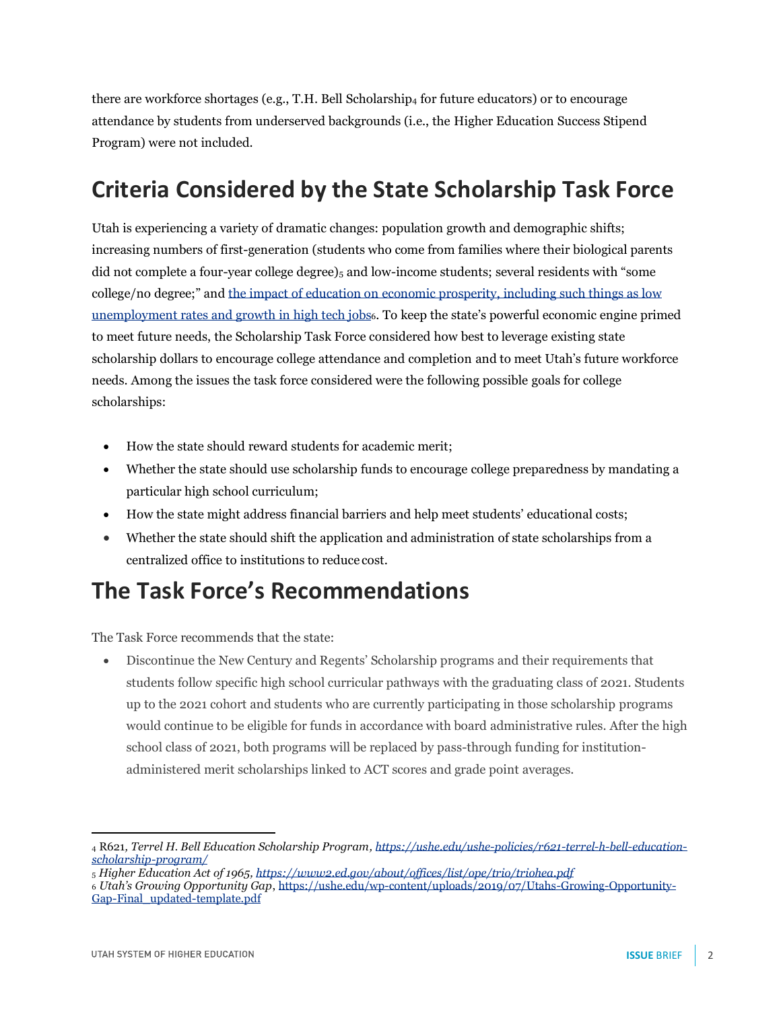there are workforce shortages (e.g., T.H. Bell Scholarship<sup>4</sup> for future educators) or to encourage attendance by students from underserved backgrounds (i.e., the Higher Education Success Stipend Program) were not included.

## **Criteria Considered by the State Scholarship Task Force**

Utah is experiencing a variety of dramatic changes: population growth and demographic shifts; increasing numbers of first-generation (students who come from families where their biological parents did not complete a four-year college degree) $_5$  and low-income students; several residents with "some college/no degree;" and [the impact of education on economic prosperity, including such things as low](https://ushe.edu/wp-content/uploads/2019/07/Utahs-Growing-Opportunity-Gap-Final_updated-template.pdf)  [unemployment rates and growth in high tech jobs](https://ushe.edu/wp-content/uploads/2019/07/Utahs-Growing-Opportunity-Gap-Final_updated-template.pdf)6. To keep the state's powerful economic engine primed to meet future needs, the Scholarship Task Force considered how best to leverage existing state scholarship dollars to encourage college attendance and completion and to meet Utah's future workforce needs. Among the issues the task force considered were the following possible goals for college scholarships:

- How the state should reward students for academic merit;
- Whether the state should use scholarship funds to encourage college preparedness by mandating a particular high school curriculum;
- How the state might address financial barriers and help meet students' educational costs;
- Whether the state should shift the application and administration of state scholarships from a centralized office to institutions to reduce cost.

## **The Task Force's Recommendations**

The Task Force recommends that the state:

• Discontinue the New Century and Regents' Scholarship programs and their requirements that students follow specific high school curricular pathways with the graduating class of 2021. Students up to the 2021 cohort and students who are currently participating in those scholarship programs would continue to be eligible for funds in accordance with board administrative rules. After the high school class of 2021, both programs will be replaced by pass-through funding for institutionadministered merit scholarships linked to ACT scores and grade point averages.

<sup>4</sup> R621*, Terrel H. Bell Education Scholarship Program[, https://ushe.edu/ushe-policies/r621-terrel-h-bell-education](https://ushe.edu/ushe-policies/r621-terrel-h-bell-education-scholarship-program/)[scholarship-program/](https://ushe.edu/ushe-policies/r621-terrel-h-bell-education-scholarship-program/)*

<sup>5</sup> *Higher Education Act of 1965[, https://www2.ed.gov/about/offices/list/ope/trio/triohea.pdf](https://www2.ed.gov/about/offices/list/ope/trio/triohea.pdf)*

<sup>6</sup> *Utah's Growing Opportunity Gap*[, https://ushe.edu/wp-content/uploads/2019/07/Utahs-Growing-Opportunity-](https://ushe.edu/wp-content/uploads/2019/07/Utahs-Growing-Opportunity-Gap-Final_updated-template.pdf)[Gap-Final\\_updated-template.pdf](https://ushe.edu/wp-content/uploads/2019/07/Utahs-Growing-Opportunity-Gap-Final_updated-template.pdf)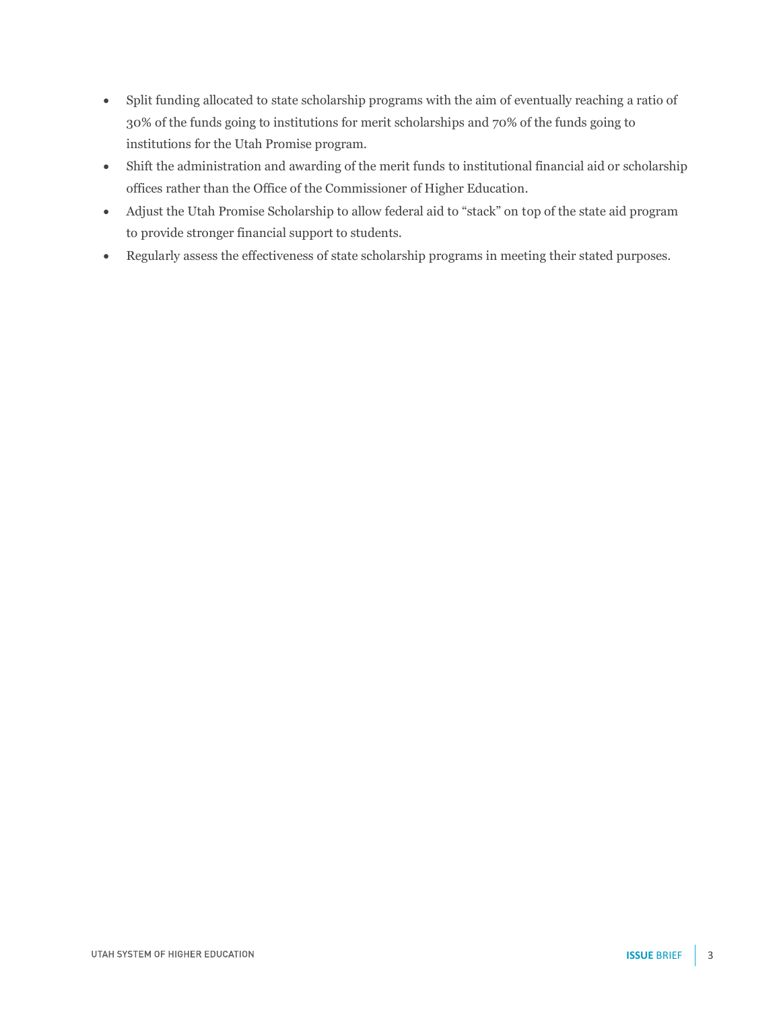- Split funding allocated to state scholarship programs with the aim of eventually reaching a ratio of 30% of the funds going to institutions for merit scholarships and 70% of the funds going to institutions for the Utah Promise program.
- Shift the administration and awarding of the merit funds to institutional financial aid or scholarship offices rather than the Office of the Commissioner of Higher Education.
- Adjust the Utah Promise Scholarship to allow federal aid to "stack" on top of the state aid program to provide stronger financial support to students.
- Regularly assess the effectiveness of state scholarship programs in meeting their stated purposes.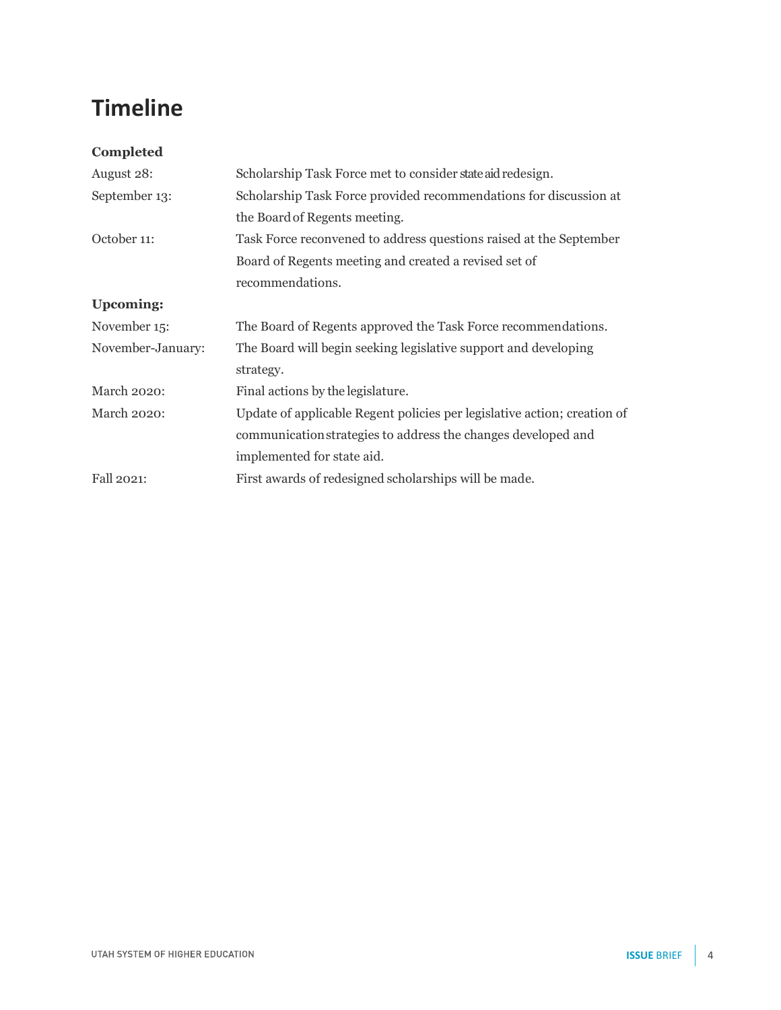## **Timeline**

| Completed         |                                                                          |  |  |
|-------------------|--------------------------------------------------------------------------|--|--|
| August 28:        | Scholarship Task Force met to consider state aid redesign.               |  |  |
| September 13:     | Scholarship Task Force provided recommendations for discussion at        |  |  |
|                   | the Board of Regents meeting.                                            |  |  |
| October 11:       | Task Force reconvened to address questions raised at the September       |  |  |
|                   | Board of Regents meeting and created a revised set of                    |  |  |
|                   | recommendations.                                                         |  |  |
| <b>Upcoming:</b>  |                                                                          |  |  |
| November 15:      | The Board of Regents approved the Task Force recommendations.            |  |  |
| November-January: | The Board will begin seeking legislative support and developing          |  |  |
|                   | strategy.                                                                |  |  |
| March 2020:       | Final actions by the legislature.                                        |  |  |
| March 2020:       | Update of applicable Regent policies per legislative action; creation of |  |  |
|                   | communication strategies to address the changes developed and            |  |  |
|                   | implemented for state aid.                                               |  |  |
| Fall 2021:        | First awards of redesigned scholarships will be made.                    |  |  |